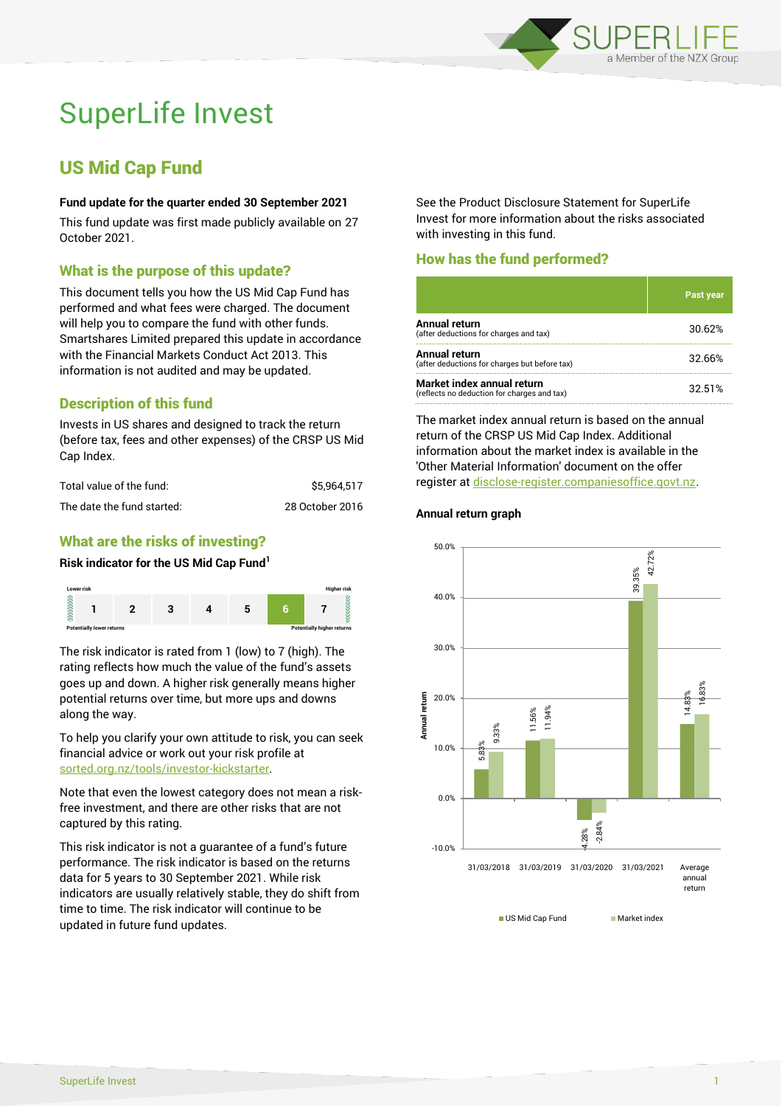

# SuperLife Invest

# US Mid Cap Fund

#### **Fund update for the quarter ended 30 September 2021**

This fund update was first made publicly available on 27 October 2021.

# What is the purpose of this update?

This document tells you how the US Mid Cap Fund has performed and what fees were charged. The document will help you to compare the fund with other funds. Smartshares Limited prepared this update in accordance with the Financial Markets Conduct Act 2013. This information is not audited and may be updated.

# Description of this fund

Invests in US shares and designed to track the return (before tax, fees and other expenses) of the CRSP US Mid Cap Index.

| Total value of the fund:   | \$5.964.517     |
|----------------------------|-----------------|
| The date the fund started: | 28 October 2016 |

# What are the risks of investing?

#### **Risk indicator for the US Mid Cap Fund<sup>1</sup>**



The risk indicator is rated from 1 (low) to 7 (high). The rating reflects how much the value of the fund's assets goes up and down. A higher risk generally means higher potential returns over time, but more ups and downs along the way.

To help you clarify your own attitude to risk, you can seek financial advice or work out your risk profile at [sorted.org.nz/tools/investor-kickstarter.](http://www.sorted.org.nz/tools/investor-kickstarter)

Note that even the lowest category does not mean a riskfree investment, and there are other risks that are not captured by this rating.

This risk indicator is not a guarantee of a fund's future performance. The risk indicator is based on the returns data for 5 years to 30 September 2021. While risk indicators are usually relatively stable, they do shift from time to time. The risk indicator will continue to be updated in future fund updates.

See the Product Disclosure Statement for SuperLife Invest for more information about the risks associated with investing in this fund.

# How has the fund performed?

|                                                                           | <b>Past year</b> |
|---------------------------------------------------------------------------|------------------|
| <b>Annual return</b><br>(after deductions for charges and tax)            | 30.62%           |
| Annual return<br>(after deductions for charges but before tax)            | 32.66%           |
| Market index annual return<br>(reflects no deduction for charges and tax) | 32.51%           |

The market index annual return is based on the annual return of the CRSP US Mid Cap Index. Additional information about the market index is available in the 'Other Material Information' document on the offer register a[t disclose-register.companiesoffice.govt.nz.](http://www.disclose-register.companiesoffice.govt.nz/)

# **Annual return graph**



US Mid Cap Fund Market index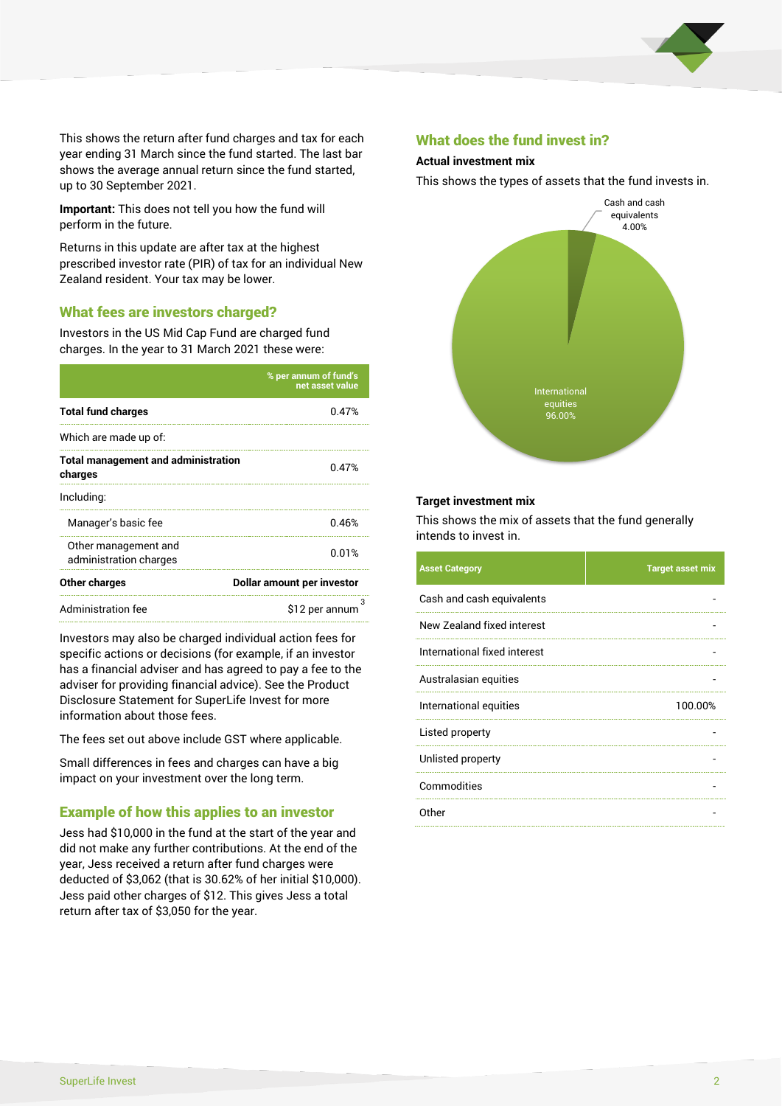

This shows the return after fund charges and tax for each year ending 31 March since the fund started. The last bar shows the average annual return since the fund started, up to 30 September 2021.

**Important:** This does not tell you how the fund will perform in the future.

Returns in this update are after tax at the highest prescribed investor rate (PIR) of tax for an individual New Zealand resident. Your tax may be lower.

# What fees are investors charged?

Investors in the US Mid Cap Fund are charged fund charges. In the year to 31 March 2021 these were:

|                                                       | % per annum of fund's<br>net asset value |  |
|-------------------------------------------------------|------------------------------------------|--|
| <b>Total fund charges</b>                             | 0.47%                                    |  |
| Which are made up of:                                 |                                          |  |
| <b>Total management and administration</b><br>charges | 0.47%                                    |  |
| Including:                                            |                                          |  |
| Manager's basic fee                                   | 0.46%                                    |  |
| Other management and<br>administration charges        | 0.01%                                    |  |
| Other charges                                         | Dollar amount per investor               |  |
| Administration fee                                    | з<br>\$12 per annum                      |  |

Investors may also be charged individual action fees for specific actions or decisions (for example, if an investor has a financial adviser and has agreed to pay a fee to the adviser for providing financial advice). See the Product Disclosure Statement for SuperLife Invest for more information about those fees.

The fees set out above include GST where applicable.

Small differences in fees and charges can have a big impact on your investment over the long term.

# Example of how this applies to an investor

Jess had \$10,000 in the fund at the start of the year and did not make any further contributions. At the end of the year, Jess received a return after fund charges were deducted of \$3,062 (that is 30.62% of her initial \$10,000). Jess paid other charges of \$12. This gives Jess a total return after tax of \$3,050 for the year.

#### What does the fund invest in?

#### **Actual investment mix**

This shows the types of assets that the fund invests in.



#### **Target investment mix**

This shows the mix of assets that the fund generally intends to invest in.

| <b>Asset Category</b>        | <b>Target asset mix</b> |
|------------------------------|-------------------------|
| Cash and cash equivalents    |                         |
| New Zealand fixed interest   |                         |
| International fixed interest |                         |
| Australasian equities        |                         |
| International equities       | 100.00%                 |
| Listed property              |                         |
| Unlisted property            |                         |
| Commodities                  |                         |
| Other                        |                         |